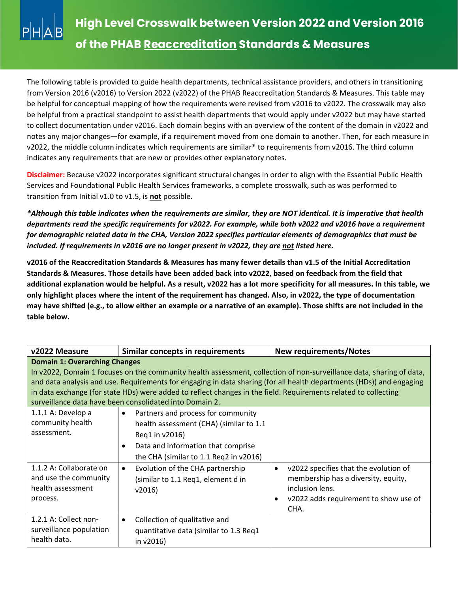

The following table is provided to guide health departments, technical assistance providers, and others in transitioning from Version 2016 (v2016) to Version 2022 (v2022) of the PHAB Reaccreditation Standards & Measures. This table may be helpful for conceptual mapping of how the requirements were revised from v2016 to v2022. The crosswalk may also be helpful from a practical standpoint to assist health departments that would apply under v2022 but may have started to collect documentation under v2016. Each domain begins with an overview of the content of the domain in v2022 and notes any major changes—for example, if a requirement moved from one domain to another. Then, for each measure in v2022, the middle column indicates which requirements are similar\* to requirements from v2016. The third column indicates any requirements that are new or provides other explanatory notes.

**Disclaimer:** Because v2022 incorporates significant structural changes in order to align with the Essential Public Health Services and Foundational Public Health Services frameworks, a complete crosswalk, such as was performed to transition from Initial v1.0 to v1.5, is **not** possible.

*\*Although this table indicates when the requirements are similar, they are NOT identical. It is imperative that health departments read the specific requirements for v2022. For example, while both v2022 and v2016 have a requirement for demographic related data in the CHA, Version 2022 specifies particular elements of demographics that must be included. If requirements in v2016 are no longer present in v2022, they are not listed here.* 

**v2016 of the Reaccreditation Standards & Measures has many fewer details than v1.5 of the Initial Accreditation Standards & Measures. Those details have been added back into v2022, based on feedback from the field that additional explanation would be helpful. As a result, v2022 has a lot more specificity for all measures. In this table, we only highlight places where the intent of the requirement has changed. Also, in v2022, the type of documentation may have shifted (e.g., to allow either an example or a narrative of an example). Those shifts are not included in the table below.**

| v2022 Measure                                                                                                                                                                                                                                                                                                                                                                                                                                                      | Similar concepts in requirements                                                                                                                                                                          | <b>New requirements/Notes</b>                                                                                                                                 |
|--------------------------------------------------------------------------------------------------------------------------------------------------------------------------------------------------------------------------------------------------------------------------------------------------------------------------------------------------------------------------------------------------------------------------------------------------------------------|-----------------------------------------------------------------------------------------------------------------------------------------------------------------------------------------------------------|---------------------------------------------------------------------------------------------------------------------------------------------------------------|
| <b>Domain 1: Overarching Changes</b><br>In v2022, Domain 1 focuses on the community health assessment, collection of non-surveillance data, sharing of data,<br>and data analysis and use. Requirements for engaging in data sharing (for all health departments (HDs)) and engaging<br>in data exchange (for state HDs) were added to reflect changes in the field. Requirements related to collecting<br>surveillance data have been consolidated into Domain 2. |                                                                                                                                                                                                           |                                                                                                                                                               |
| $1.1.1$ A: Develop a<br>community health<br>assessment.                                                                                                                                                                                                                                                                                                                                                                                                            | Partners and process for community<br>$\bullet$<br>health assessment (CHA) (similar to 1.1<br>Reg1 in v2016)<br>Data and information that comprise<br>$\bullet$<br>the CHA (similar to 1.1 Req2 in v2016) |                                                                                                                                                               |
| 1.1.2 A: Collaborate on<br>and use the community<br>health assessment<br>process.                                                                                                                                                                                                                                                                                                                                                                                  | Evolution of the CHA partnership<br>$\bullet$<br>(similar to 1.1 Req1, element d in<br>v2016                                                                                                              | v2022 specifies that the evolution of<br>$\bullet$<br>membership has a diversity, equity,<br>inclusion lens.<br>v2022 adds requirement to show use of<br>CHA. |
| 1.2.1 A: Collect non-<br>surveillance population<br>health data.                                                                                                                                                                                                                                                                                                                                                                                                   | Collection of qualitative and<br>$\bullet$<br>quantitative data (similar to 1.3 Req1<br>in $v2016$ )                                                                                                      |                                                                                                                                                               |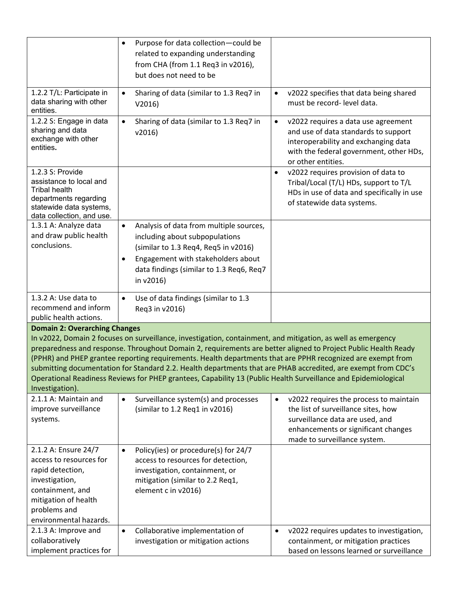|                                                                                                                                                                                                                                                                                                                                                                                                                                                                                                                                                                                                                                             | Purpose for data collection-could be<br>$\bullet$<br>related to expanding understanding<br>from CHA (from 1.1 Req3 in v2016),<br>but does not need to be                                                                                   |                                                                                                                                                                                                      |  |
|---------------------------------------------------------------------------------------------------------------------------------------------------------------------------------------------------------------------------------------------------------------------------------------------------------------------------------------------------------------------------------------------------------------------------------------------------------------------------------------------------------------------------------------------------------------------------------------------------------------------------------------------|--------------------------------------------------------------------------------------------------------------------------------------------------------------------------------------------------------------------------------------------|------------------------------------------------------------------------------------------------------------------------------------------------------------------------------------------------------|--|
| 1.2.2 T/L: Participate in<br>data sharing with other<br>entities.                                                                                                                                                                                                                                                                                                                                                                                                                                                                                                                                                                           | Sharing of data (similar to 1.3 Req7 in<br>$\bullet$<br>V2016                                                                                                                                                                              | v2022 specifies that data being shared<br>$\bullet$<br>must be record- level data.                                                                                                                   |  |
| 1.2.2 S: Engage in data<br>sharing and data<br>exchange with other<br>entities.                                                                                                                                                                                                                                                                                                                                                                                                                                                                                                                                                             | Sharing of data (similar to 1.3 Req7 in<br>$\bullet$<br>v2016                                                                                                                                                                              | v2022 requires a data use agreement<br>$\bullet$<br>and use of data standards to support<br>interoperability and exchanging data<br>with the federal government, other HDs,<br>or other entities.    |  |
| 1.2.3 S: Provide<br>assistance to local and<br><b>Tribal health</b><br>departments regarding<br>statewide data systems,<br>data collection, and use.                                                                                                                                                                                                                                                                                                                                                                                                                                                                                        |                                                                                                                                                                                                                                            | v2022 requires provision of data to<br>٠<br>Tribal/Local (T/L) HDs, support to T/L<br>HDs in use of data and specifically in use<br>of statewide data systems.                                       |  |
| 1.3.1 A: Analyze data<br>and draw public health<br>conclusions.                                                                                                                                                                                                                                                                                                                                                                                                                                                                                                                                                                             | Analysis of data from multiple sources,<br>$\bullet$<br>including about subpopulations<br>(similar to 1.3 Req4, Req5 in v2016)<br>Engagement with stakeholders about<br>$\bullet$<br>data findings (similar to 1.3 Req6, Req7<br>in v2016) |                                                                                                                                                                                                      |  |
| 1.3.2 A: Use data to<br>recommend and inform<br>public health actions.                                                                                                                                                                                                                                                                                                                                                                                                                                                                                                                                                                      | Use of data findings (similar to 1.3<br>$\bullet$<br>Req3 in v2016)                                                                                                                                                                        |                                                                                                                                                                                                      |  |
| <b>Domain 2: Overarching Changes</b><br>In v2022, Domain 2 focuses on surveillance, investigation, containment, and mitigation, as well as emergency<br>preparedness and response. Throughout Domain 2, requirements are better aligned to Project Public Health Ready<br>(PPHR) and PHEP grantee reporting requirements. Health departments that are PPHR recognized are exempt from<br>submitting documentation for Standard 2.2. Health departments that are PHAB accredited, are exempt from CDC's<br>Operational Readiness Reviews for PHEP grantees, Capability 13 (Public Health Surveillance and Epidemiological<br>Investigation). |                                                                                                                                                                                                                                            |                                                                                                                                                                                                      |  |
| 2.1.1 A: Maintain and<br>improve surveillance<br>systems.                                                                                                                                                                                                                                                                                                                                                                                                                                                                                                                                                                                   | Surveillance system(s) and processes<br>$\bullet$<br>(similar to 1.2 Req1 in v2016)                                                                                                                                                        | v2022 requires the process to maintain<br>$\bullet$<br>the list of surveillance sites, how<br>surveillance data are used, and<br>enhancements or significant changes<br>made to surveillance system. |  |
| 2.1.2 A: Ensure 24/7<br>access to resources for<br>rapid detection,<br>investigation,<br>containment, and<br>mitigation of health<br>problems and<br>environmental hazards.                                                                                                                                                                                                                                                                                                                                                                                                                                                                 | Policy(ies) or procedure(s) for 24/7<br>$\bullet$<br>access to resources for detection,<br>investigation, containment, or<br>mitigation (similar to 2.2 Req1,<br>element c in v2016)                                                       |                                                                                                                                                                                                      |  |
| 2.1.3 A: Improve and<br>collaboratively<br>implement practices for                                                                                                                                                                                                                                                                                                                                                                                                                                                                                                                                                                          | Collaborative implementation of<br>$\bullet$<br>investigation or mitigation actions                                                                                                                                                        | v2022 requires updates to investigation,<br>$\bullet$<br>containment, or mitigation practices<br>based on lessons learned or surveillance                                                            |  |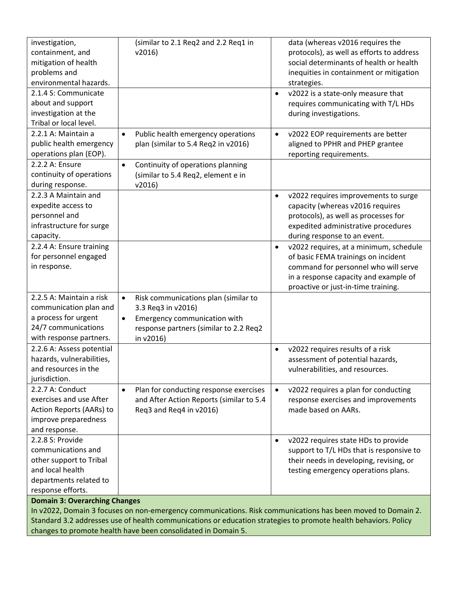| investigation,<br>containment, and<br>mitigation of health<br>problems and<br>environmental hazards.                                                                                                                                                                                                                                    | (similar to 2.1 Req2 and 2.2 Req1 in<br>v2016                                                                                                                               | data (whereas v2016 requires the<br>protocols), as well as efforts to address<br>social determinants of health or health<br>inequities in containment or mitigation<br>strategies.                                 |
|-----------------------------------------------------------------------------------------------------------------------------------------------------------------------------------------------------------------------------------------------------------------------------------------------------------------------------------------|-----------------------------------------------------------------------------------------------------------------------------------------------------------------------------|--------------------------------------------------------------------------------------------------------------------------------------------------------------------------------------------------------------------|
| 2.1.4 S: Communicate<br>about and support<br>investigation at the<br>Tribal or local level.                                                                                                                                                                                                                                             |                                                                                                                                                                             | v2022 is a state-only measure that<br>$\bullet$<br>requires communicating with T/L HDs<br>during investigations.                                                                                                   |
| 2.2.1 A: Maintain a<br>public health emergency<br>operations plan (EOP).                                                                                                                                                                                                                                                                | Public health emergency operations<br>$\bullet$<br>plan (similar to 5.4 Req2 in v2016)                                                                                      | v2022 EOP requirements are better<br>$\bullet$<br>aligned to PPHR and PHEP grantee<br>reporting requirements.                                                                                                      |
| 2.2.2 A: Ensure<br>continuity of operations<br>during response.                                                                                                                                                                                                                                                                         | Continuity of operations planning<br>$\bullet$<br>(similar to 5.4 Req2, element e in<br>v2016                                                                               |                                                                                                                                                                                                                    |
| 2.2.3 A Maintain and<br>expedite access to<br>personnel and<br>infrastructure for surge<br>capacity.                                                                                                                                                                                                                                    |                                                                                                                                                                             | v2022 requires improvements to surge<br>$\bullet$<br>capacity (whereas v2016 requires<br>protocols), as well as processes for<br>expedited administrative procedures<br>during response to an event.               |
| 2.2.4 A: Ensure training<br>for personnel engaged<br>in response.                                                                                                                                                                                                                                                                       |                                                                                                                                                                             | v2022 requires, at a minimum, schedule<br>$\bullet$<br>of basic FEMA trainings on incident<br>command for personnel who will serve<br>in a response capacity and example of<br>proactive or just-in-time training. |
| 2.2.5 A: Maintain a risk<br>communication plan and<br>a process for urgent<br>24/7 communications<br>with response partners.                                                                                                                                                                                                            | Risk communications plan (similar to<br>$\bullet$<br>3.3 Req3 in v2016)<br>Emergency communication with<br>$\bullet$<br>response partners (similar to 2.2 Req2<br>in v2016) |                                                                                                                                                                                                                    |
| 2.2.6 A: Assess potential<br>hazards, vulnerabilities,<br>and resources in the<br>jurisdiction.                                                                                                                                                                                                                                         |                                                                                                                                                                             | v2022 requires results of a risk<br>$\bullet$<br>assessment of potential hazards,<br>vulnerabilities, and resources.                                                                                               |
| 2.2.7 A: Conduct<br>exercises and use After<br>Action Reports (AARs) to<br>improve preparedness<br>and response.                                                                                                                                                                                                                        | Plan for conducting response exercises<br>$\bullet$<br>and After Action Reports (similar to 5.4<br>Req3 and Req4 in v2016)                                                  | v2022 requires a plan for conducting<br>$\bullet$<br>response exercises and improvements<br>made based on AARs.                                                                                                    |
| 2.2.8 S: Provide<br>communications and<br>other support to Tribal<br>and local health<br>departments related to<br>response efforts.                                                                                                                                                                                                    |                                                                                                                                                                             | v2022 requires state HDs to provide<br>$\bullet$<br>support to T/L HDs that is responsive to<br>their needs in developing, revising, or<br>testing emergency operations plans.                                     |
| <b>Domain 3: Overarching Changes</b><br>In v2022, Domain 3 focuses on non-emergency communications. Risk communications has been moved to Domain 2.<br>Standard 3.2 addresses use of health communications or education strategies to promote health behaviors. Policy<br>changes to promote health have been consolidated in Domain 5. |                                                                                                                                                                             |                                                                                                                                                                                                                    |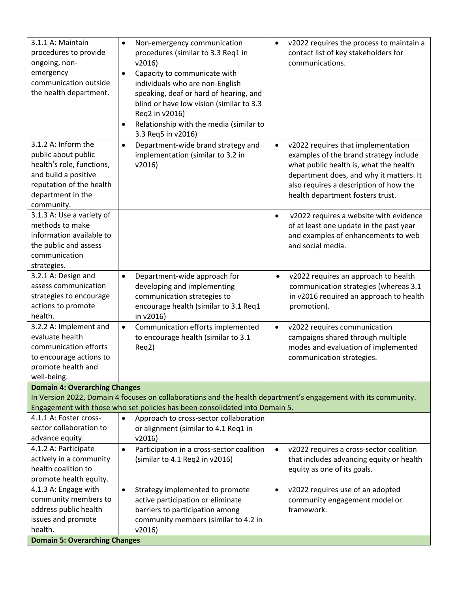| 3.1.1 A: Maintain<br>procedures to provide<br>ongoing, non-<br>emergency<br>communication outside<br>the health department.                                    | Non-emergency communication<br>$\bullet$<br>procedures (similar to 3.3 Req1 in<br>v2016<br>Capacity to communicate with<br>$\bullet$<br>individuals who are non-English<br>speaking, deaf or hard of hearing, and<br>blind or have low vision (similar to 3.3<br>Req2 in v2016)<br>Relationship with the media (similar to<br>$\bullet$<br>3.3 Req5 in v2016) | v2022 requires the process to maintain a<br>$\bullet$<br>contact list of key stakeholders for<br>communications.                                                                                                                                             |
|----------------------------------------------------------------------------------------------------------------------------------------------------------------|---------------------------------------------------------------------------------------------------------------------------------------------------------------------------------------------------------------------------------------------------------------------------------------------------------------------------------------------------------------|--------------------------------------------------------------------------------------------------------------------------------------------------------------------------------------------------------------------------------------------------------------|
| 3.1.2 A: Inform the<br>public about public<br>health's role, functions,<br>and build a positive<br>reputation of the health<br>department in the<br>community. | Department-wide brand strategy and<br>$\bullet$<br>implementation (similar to 3.2 in<br>v2016                                                                                                                                                                                                                                                                 | v2022 requires that implementation<br>$\bullet$<br>examples of the brand strategy include<br>what public health is, what the health<br>department does, and why it matters. It<br>also requires a description of how the<br>health department fosters trust. |
| 3.1.3 A: Use a variety of<br>methods to make<br>information available to<br>the public and assess<br>communication<br>strategies.                              |                                                                                                                                                                                                                                                                                                                                                               | v2022 requires a website with evidence<br>$\bullet$<br>of at least one update in the past year<br>and examples of enhancements to web<br>and social media.                                                                                                   |
| 3.2.1 A: Design and<br>assess communication<br>strategies to encourage<br>actions to promote<br>health.                                                        | Department-wide approach for<br>$\bullet$<br>developing and implementing<br>communication strategies to<br>encourage health (similar to 3.1 Req1<br>in v2016)                                                                                                                                                                                                 | v2022 requires an approach to health<br>$\bullet$<br>communication strategies (whereas 3.1<br>in v2016 required an approach to health<br>promotion).                                                                                                         |
| 3.2.2 A: Implement and<br>evaluate health<br>communication efforts<br>to encourage actions to<br>promote health and<br>well-being.                             | Communication efforts implemented<br>$\bullet$<br>to encourage health (similar to 3.1<br>Req2)                                                                                                                                                                                                                                                                | v2022 requires communication<br>$\bullet$<br>campaigns shared through multiple<br>modes and evaluation of implemented<br>communication strategies.                                                                                                           |
| <b>Domain 4: Overarching Changes</b>                                                                                                                           |                                                                                                                                                                                                                                                                                                                                                               |                                                                                                                                                                                                                                                              |
|                                                                                                                                                                | In Version 2022, Domain 4 focuses on collaborations and the health department's engagement with its community.<br>Engagement with those who set policies has been consolidated into Domain 5.                                                                                                                                                                 |                                                                                                                                                                                                                                                              |
| 4.1.1 A: Foster cross-                                                                                                                                         | Approach to cross-sector collaboration<br>$\bullet$                                                                                                                                                                                                                                                                                                           |                                                                                                                                                                                                                                                              |
| sector collaboration to                                                                                                                                        | or alignment (similar to 4.1 Req1 in                                                                                                                                                                                                                                                                                                                          |                                                                                                                                                                                                                                                              |
| advance equity.                                                                                                                                                | v2016                                                                                                                                                                                                                                                                                                                                                         |                                                                                                                                                                                                                                                              |
| 4.1.2 A: Participate                                                                                                                                           | Participation in a cross-sector coalition<br>$\bullet$                                                                                                                                                                                                                                                                                                        | v2022 requires a cross-sector coalition<br>$\bullet$                                                                                                                                                                                                         |
| actively in a community<br>health coalition to                                                                                                                 | (similar to 4.1 Req2 in v2016)                                                                                                                                                                                                                                                                                                                                | that includes advancing equity or health                                                                                                                                                                                                                     |
| promote health equity.                                                                                                                                         |                                                                                                                                                                                                                                                                                                                                                               | equity as one of its goals.                                                                                                                                                                                                                                  |
| 4.1.3 A: Engage with                                                                                                                                           | Strategy implemented to promote<br>$\bullet$                                                                                                                                                                                                                                                                                                                  | v2022 requires use of an adopted<br>$\bullet$                                                                                                                                                                                                                |
| community members to                                                                                                                                           | active participation or eliminate                                                                                                                                                                                                                                                                                                                             | community engagement model or                                                                                                                                                                                                                                |
| address public health                                                                                                                                          | barriers to participation among                                                                                                                                                                                                                                                                                                                               | framework.                                                                                                                                                                                                                                                   |
| issues and promote                                                                                                                                             | community members (similar to 4.2 in                                                                                                                                                                                                                                                                                                                          |                                                                                                                                                                                                                                                              |
| health.                                                                                                                                                        | v2016                                                                                                                                                                                                                                                                                                                                                         |                                                                                                                                                                                                                                                              |
| <b>Domain 5: Overarching Changes</b>                                                                                                                           |                                                                                                                                                                                                                                                                                                                                                               |                                                                                                                                                                                                                                                              |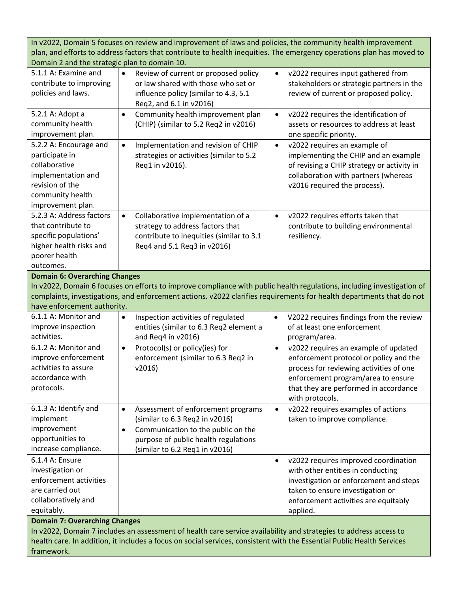In v2022, Domain 5 focuses on review and improvement of laws and policies, the community health improvement plan, and efforts to address factors that contribute to health inequities. The emergency operations plan has moved to Domain 2 and the strategic plan to domain 10.

| DOMIANI Z anu the strategic plan to domiani IO.                                                                                             |                                                                                                                                                               |                                                                                                                                                                                                         |
|---------------------------------------------------------------------------------------------------------------------------------------------|---------------------------------------------------------------------------------------------------------------------------------------------------------------|---------------------------------------------------------------------------------------------------------------------------------------------------------------------------------------------------------|
| 5.1.1 A: Examine and<br>contribute to improving<br>policies and laws.                                                                       | $\bullet$<br>Review of current or proposed policy<br>or law shared with those who set or<br>influence policy (similar to 4.3, 5.1<br>Req2, and 6.1 in v2016)  | v2022 requires input gathered from<br>$\bullet$<br>stakeholders or strategic partners in the<br>review of current or proposed policy.                                                                   |
| 5.2.1 A: Adopt a<br>community health<br>improvement plan.                                                                                   | Community health improvement plan<br>$\bullet$<br>(CHIP) (similar to 5.2 Req2 in v2016)                                                                       | v2022 requires the identification of<br>$\bullet$<br>assets or resources to address at least<br>one specific priority.                                                                                  |
| 5.2.2 A: Encourage and<br>participate in<br>collaborative<br>implementation and<br>revision of the<br>community health<br>improvement plan. | Implementation and revision of CHIP<br>$\bullet$<br>strategies or activities (similar to 5.2<br>Req1 in v2016).                                               | v2022 requires an example of<br>$\bullet$<br>implementing the CHIP and an example<br>of revising a CHIP strategy or activity in<br>collaboration with partners (whereas<br>v2016 required the process). |
| 5.2.3 A: Address factors<br>that contribute to<br>specific populations'<br>higher health risks and<br>poorer health<br>outcomes.            | Collaborative implementation of a<br>$\bullet$<br>strategy to address factors that<br>contribute to inequities (similar to 3.1<br>Req4 and 5.1 Req3 in v2016) | v2022 requires efforts taken that<br>$\bullet$<br>contribute to building environmental<br>resiliency.                                                                                                   |
| <b>Domain 6: Overarching Changes</b>                                                                                                        |                                                                                                                                                               |                                                                                                                                                                                                         |
|                                                                                                                                             |                                                                                                                                                               | In v2022, Domain 6 focuses on efforts to improve compliance with public health regulations, including investigation of                                                                                  |
|                                                                                                                                             |                                                                                                                                                               | complaints, investigations, and enforcement actions. v2022 clarifies requirements for health departments that do not                                                                                    |
| have enforcement authority.                                                                                                                 |                                                                                                                                                               |                                                                                                                                                                                                         |
| 6.1.1 A: Monitor and                                                                                                                        | Inspection activities of regulated<br>$\bullet$                                                                                                               | V2022 requires findings from the review<br>$\bullet$                                                                                                                                                    |
| improve inspection                                                                                                                          | entities (similar to 6.3 Req2 element a                                                                                                                       | of at least one enforcement                                                                                                                                                                             |
| activities.                                                                                                                                 | and Req4 in v2016)                                                                                                                                            | program/area.                                                                                                                                                                                           |
| 6.1.2 A: Monitor and                                                                                                                        | Protocol(s) or policy(ies) for<br>$\bullet$                                                                                                                   | v2022 requires an example of updated<br>$\bullet$                                                                                                                                                       |
| improve enforcement                                                                                                                         | enforcement (similar to 6.3 Req2 in                                                                                                                           | enforcement protocol or policy and the                                                                                                                                                                  |
| activities to assure                                                                                                                        | v2016)                                                                                                                                                        | process for reviewing activities of one                                                                                                                                                                 |
| accordance with                                                                                                                             |                                                                                                                                                               | enforcement program/area to ensure                                                                                                                                                                      |
| protocols.                                                                                                                                  |                                                                                                                                                               | that they are performed in accordance                                                                                                                                                                   |
|                                                                                                                                             |                                                                                                                                                               | with protocols.                                                                                                                                                                                         |
| 6.1.3 A: Identify and                                                                                                                       | Assessment of enforcement programs<br>٠                                                                                                                       | v2022 requires examples of actions<br>٠                                                                                                                                                                 |
| implement                                                                                                                                   | (similar to 6.3 Req2 in v2016)                                                                                                                                | taken to improve compliance.                                                                                                                                                                            |
| improvement                                                                                                                                 | Communication to the public on the<br>$\bullet$                                                                                                               |                                                                                                                                                                                                         |
| opportunities to                                                                                                                            | purpose of public health regulations                                                                                                                          |                                                                                                                                                                                                         |
| increase compliance.                                                                                                                        | (similar to $6.2$ Req1 in $v2016$ )                                                                                                                           |                                                                                                                                                                                                         |
| 6.1.4 A: Ensure                                                                                                                             |                                                                                                                                                               |                                                                                                                                                                                                         |
|                                                                                                                                             |                                                                                                                                                               | v2022 requires improved coordination<br>$\bullet$                                                                                                                                                       |
| investigation or                                                                                                                            |                                                                                                                                                               | with other entities in conducting                                                                                                                                                                       |
| enforcement activities                                                                                                                      |                                                                                                                                                               | investigation or enforcement and steps                                                                                                                                                                  |
| are carried out                                                                                                                             |                                                                                                                                                               | taken to ensure investigation or                                                                                                                                                                        |
| collaboratively and                                                                                                                         |                                                                                                                                                               | enforcement activities are equitably                                                                                                                                                                    |
| equitably.                                                                                                                                  |                                                                                                                                                               | applied.                                                                                                                                                                                                |
| <b>Domain 7: Overarching Changes</b>                                                                                                        | In v2022, Domain 7 includes an assessment of health care service availability and strategies to address access to                                             |                                                                                                                                                                                                         |

health care. In addition, it includes a focus on social services, consistent with the Essential Public Health Services framework.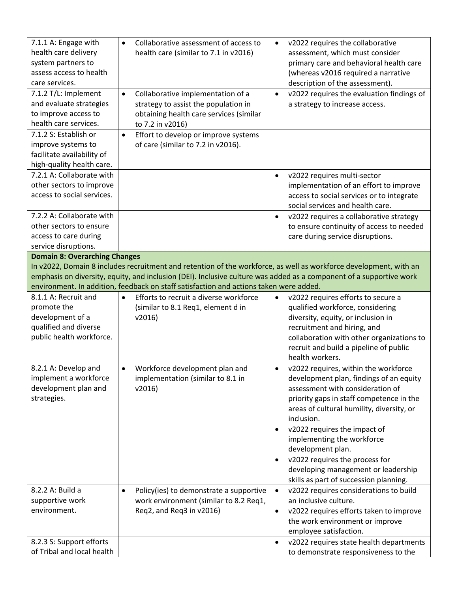| 7.1.1 A: Engage with<br>health care delivery<br>system partners to<br>assess access to health<br>care services.                                                                                                                                                                                                                                                            | Collaborative assessment of access to<br>$\bullet$<br>health care (similar to 7.1 in v2016)                                                           | v2022 requires the collaborative<br>$\bullet$<br>assessment, which must consider<br>primary care and behavioral health care<br>(whereas v2016 required a narrative<br>description of the assessment).                                                                                                                                                                                                                                                      |  |
|----------------------------------------------------------------------------------------------------------------------------------------------------------------------------------------------------------------------------------------------------------------------------------------------------------------------------------------------------------------------------|-------------------------------------------------------------------------------------------------------------------------------------------------------|------------------------------------------------------------------------------------------------------------------------------------------------------------------------------------------------------------------------------------------------------------------------------------------------------------------------------------------------------------------------------------------------------------------------------------------------------------|--|
| 7.1.2 T/L: Implement<br>and evaluate strategies<br>to improve access to<br>health care services.                                                                                                                                                                                                                                                                           | Collaborative implementation of a<br>$\bullet$<br>strategy to assist the population in<br>obtaining health care services (similar<br>to 7.2 in v2016) | v2022 requires the evaluation findings of<br>$\bullet$<br>a strategy to increase access.                                                                                                                                                                                                                                                                                                                                                                   |  |
| 7.1.2 S: Establish or<br>improve systems to<br>facilitate availability of<br>high-quality health care.                                                                                                                                                                                                                                                                     | Effort to develop or improve systems<br>$\bullet$<br>of care (similar to 7.2 in v2016).                                                               |                                                                                                                                                                                                                                                                                                                                                                                                                                                            |  |
| 7.2.1 A: Collaborate with<br>other sectors to improve<br>access to social services.                                                                                                                                                                                                                                                                                        |                                                                                                                                                       | v2022 requires multi-sector<br>$\bullet$<br>implementation of an effort to improve<br>access to social services or to integrate<br>social services and health care.                                                                                                                                                                                                                                                                                        |  |
| 7.2.2 A: Collaborate with<br>other sectors to ensure<br>access to care during<br>service disruptions.                                                                                                                                                                                                                                                                      |                                                                                                                                                       | v2022 requires a collaborative strategy<br>$\bullet$<br>to ensure continuity of access to needed<br>care during service disruptions.                                                                                                                                                                                                                                                                                                                       |  |
| <b>Domain 8: Overarching Changes</b><br>In v2022, Domain 8 includes recruitment and retention of the workforce, as well as workforce development, with an<br>emphasis on diversity, equity, and inclusion (DEI). Inclusive culture was added as a component of a supportive work<br>environment. In addition, feedback on staff satisfaction and actions taken were added. |                                                                                                                                                       |                                                                                                                                                                                                                                                                                                                                                                                                                                                            |  |
| 8.1.1 A: Recruit and<br>promote the<br>development of a<br>qualified and diverse<br>public health workforce.                                                                                                                                                                                                                                                               | Efforts to recruit a diverse workforce<br>$\bullet$<br>(similar to 8.1 Req1, element d in<br>v2016                                                    | v2022 requires efforts to secure a<br>٠<br>qualified workforce, considering<br>diversity, equity, or inclusion in<br>recruitment and hiring, and<br>collaboration with other organizations to<br>recruit and build a pipeline of public<br>health workers.                                                                                                                                                                                                 |  |
| 8.2.1 A: Develop and<br>implement a workforce<br>development plan and<br>strategies.                                                                                                                                                                                                                                                                                       | Workforce development plan and<br>$\bullet$<br>implementation (similar to 8.1 in<br>v2016                                                             | v2022 requires, within the workforce<br>$\bullet$<br>development plan, findings of an equity<br>assessment with consideration of<br>priority gaps in staff competence in the<br>areas of cultural humility, diversity, or<br>inclusion.<br>v2022 requires the impact of<br>implementing the workforce<br>development plan.<br>v2022 requires the process for<br>$\bullet$<br>developing management or leadership<br>skills as part of succession planning. |  |
| 8.2.2 A: Build a<br>supportive work<br>environment.                                                                                                                                                                                                                                                                                                                        | Policy(ies) to demonstrate a supportive<br>$\bullet$<br>work environment (similar to 8.2 Req1,<br>Req2, and Req3 in v2016)                            | v2022 requires considerations to build<br>$\bullet$<br>an inclusive culture.<br>v2022 requires efforts taken to improve<br>٠<br>the work environment or improve<br>employee satisfaction.                                                                                                                                                                                                                                                                  |  |
| 8.2.3 S: Support efforts<br>of Tribal and local health                                                                                                                                                                                                                                                                                                                     |                                                                                                                                                       | v2022 requires state health departments<br>$\bullet$<br>to demonstrate responsiveness to the                                                                                                                                                                                                                                                                                                                                                               |  |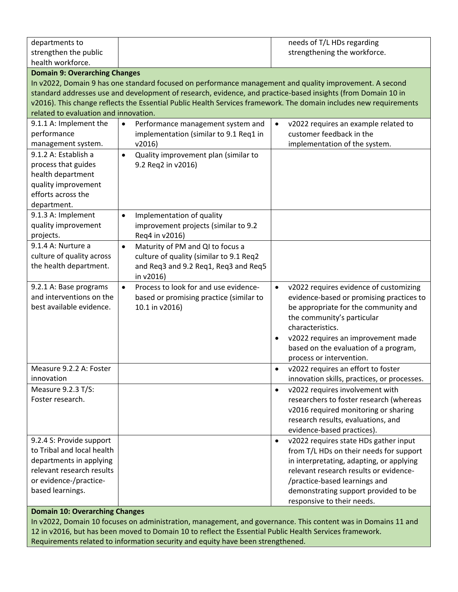| departments to                        |                                                                                                                   | needs of T/L HDs regarding                          |
|---------------------------------------|-------------------------------------------------------------------------------------------------------------------|-----------------------------------------------------|
| strengthen the public                 |                                                                                                                   | strengthening the workforce.                        |
| health workforce.                     |                                                                                                                   |                                                     |
| <b>Domain 9: Overarching Changes</b>  |                                                                                                                   |                                                     |
|                                       | In v2022, Domain 9 has one standard focused on performance management and quality improvement. A second           |                                                     |
|                                       | standard addresses use and development of research, evidence, and practice-based insights (from Domain 10 in      |                                                     |
|                                       | v2016). This change reflects the Essential Public Health Services framework. The domain includes new requirements |                                                     |
| related to evaluation and innovation. |                                                                                                                   |                                                     |
| 9.1.1 A: Implement the                | Performance management system and<br>$\bullet$                                                                    | v2022 requires an example related to<br>$\bullet$   |
| performance                           | implementation (similar to 9.1 Req1 in                                                                            | customer feedback in the                            |
| management system.                    | v2016                                                                                                             | implementation of the system.                       |
| 9.1.2 A: Establish a                  | Quality improvement plan (similar to<br>$\bullet$                                                                 |                                                     |
| process that guides                   | 9.2 Req2 in v2016)                                                                                                |                                                     |
| health department                     |                                                                                                                   |                                                     |
| quality improvement                   |                                                                                                                   |                                                     |
| efforts across the                    |                                                                                                                   |                                                     |
| department.                           |                                                                                                                   |                                                     |
| 9.1.3 A: Implement                    | Implementation of quality<br>$\bullet$                                                                            |                                                     |
| quality improvement                   | improvement projects (similar to 9.2                                                                              |                                                     |
| projects.                             | Req4 in v2016)                                                                                                    |                                                     |
| 9.1.4 A: Nurture a                    | Maturity of PM and QI to focus a<br>$\bullet$                                                                     |                                                     |
| culture of quality across             | culture of quality (similar to 9.1 Req2                                                                           |                                                     |
| the health department.                | and Req3 and 9.2 Req1, Req3 and Req5                                                                              |                                                     |
|                                       | in v2016)                                                                                                         |                                                     |
| 9.2.1 A: Base programs                | Process to look for and use evidence-<br>$\bullet$                                                                | v2022 requires evidence of customizing<br>$\bullet$ |
| and interventions on the              | based or promising practice (similar to                                                                           | evidence-based or promising practices to            |
| best available evidence.              | 10.1 in v2016)                                                                                                    | be appropriate for the community and                |
|                                       |                                                                                                                   | the community's particular                          |
|                                       |                                                                                                                   | characteristics.                                    |
|                                       |                                                                                                                   | v2022 requires an improvement made<br>$\bullet$     |
|                                       |                                                                                                                   | based on the evaluation of a program,               |
|                                       |                                                                                                                   | process or intervention.                            |
| Measure 9.2.2 A: Foster               |                                                                                                                   | v2022 requires an effort to foster<br>$\bullet$     |
| innovation                            |                                                                                                                   | innovation skills, practices, or processes.         |
| Measure 9.2.3 T/S:                    |                                                                                                                   | v2022 requires involvement with<br>$\bullet$        |
| Foster research.                      |                                                                                                                   | researchers to foster research (whereas             |
|                                       |                                                                                                                   | v2016 required monitoring or sharing                |
|                                       |                                                                                                                   | research results, evaluations, and                  |
|                                       |                                                                                                                   | evidence-based practices).                          |
| 9.2.4 S: Provide support              |                                                                                                                   | v2022 requires state HDs gather input<br>$\bullet$  |
| to Tribal and local health            |                                                                                                                   | from T/L HDs on their needs for support             |
| departments in applying               |                                                                                                                   | in interpretating, adapting, or applying            |
| relevant research results             |                                                                                                                   | relevant research results or evidence-              |
| or evidence-/practice-                |                                                                                                                   | /practice-based learnings and                       |
| based learnings.                      |                                                                                                                   | demonstrating support provided to be                |
|                                       |                                                                                                                   | responsive to their needs.                          |

## **Domain 10: Overarching Changes**

In v2022, Domain 10 focuses on administration, management, and governance. This content was in Domains 11 and 12 in v2016, but has been moved to Domain 10 to reflect the Essential Public Health Services framework. Requirements related to information security and equity have been strengthened.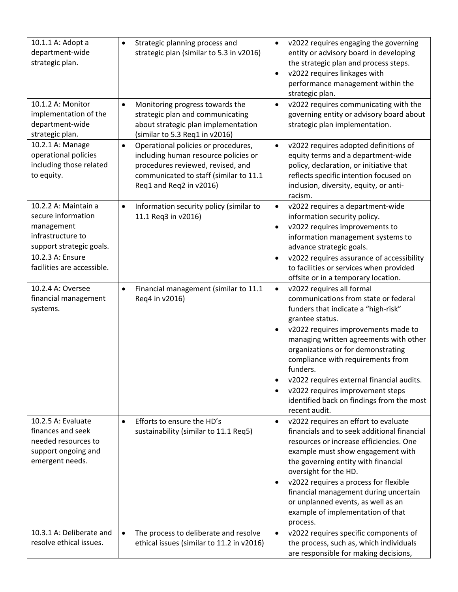| 10.1.1 A: Adopt a<br>department-wide<br>strategic plan.                                                   | Strategic planning process and<br>$\bullet$<br>strategic plan (similar to 5.3 in v2016)                                                                                                            | v2022 requires engaging the governing<br>$\bullet$<br>entity or advisory board in developing<br>the strategic plan and process steps.<br>v2022 requires linkages with<br>$\bullet$<br>performance management within the<br>strategic plan.                                                                                                                                                                                                                                    |
|-----------------------------------------------------------------------------------------------------------|----------------------------------------------------------------------------------------------------------------------------------------------------------------------------------------------------|-------------------------------------------------------------------------------------------------------------------------------------------------------------------------------------------------------------------------------------------------------------------------------------------------------------------------------------------------------------------------------------------------------------------------------------------------------------------------------|
| 10.1.2 A: Monitor<br>implementation of the<br>department-wide<br>strategic plan.                          | Monitoring progress towards the<br>$\bullet$<br>strategic plan and communicating<br>about strategic plan implementation<br>(similar to 5.3 Req1 in v2016)                                          | v2022 requires communicating with the<br>$\bullet$<br>governing entity or advisory board about<br>strategic plan implementation.                                                                                                                                                                                                                                                                                                                                              |
| 10.2.1 A: Manage<br>operational policies<br>including those related<br>to equity.                         | Operational policies or procedures,<br>$\bullet$<br>including human resource policies or<br>procedures reviewed, revised, and<br>communicated to staff (similar to 11.1<br>Req1 and Req2 in v2016) | v2022 requires adopted definitions of<br>$\bullet$<br>equity terms and a department-wide<br>policy, declaration, or initiative that<br>reflects specific intention focused on<br>inclusion, diversity, equity, or anti-<br>racism.                                                                                                                                                                                                                                            |
| 10.2.2 A: Maintain a<br>secure information<br>management<br>infrastructure to<br>support strategic goals. | Information security policy (similar to<br>$\bullet$<br>11.1 Req3 in v2016)                                                                                                                        | v2022 requires a department-wide<br>$\bullet$<br>information security policy.<br>v2022 requires improvements to<br>$\bullet$<br>information management systems to<br>advance strategic goals.                                                                                                                                                                                                                                                                                 |
| 10.2.3 A: Ensure<br>facilities are accessible.                                                            |                                                                                                                                                                                                    | v2022 requires assurance of accessibility<br>$\bullet$<br>to facilities or services when provided<br>offsite or in a temporary location.                                                                                                                                                                                                                                                                                                                                      |
| 10.2.4 A: Oversee<br>financial management<br>systems.                                                     | Financial management (similar to 11.1<br>$\bullet$<br>Req4 in v2016)                                                                                                                               | v2022 requires all formal<br>$\bullet$<br>communications from state or federal<br>funders that indicate a "high-risk"<br>grantee status.<br>v2022 requires improvements made to<br>$\bullet$<br>managing written agreements with other<br>organizations or for demonstrating<br>compliance with requirements from<br>funders.<br>v2022 requires external financial audits.<br>$\bullet$<br>v2022 requires improvement steps<br>٠<br>identified back on findings from the most |
| 10.2.5 A: Evaluate<br>finances and seek<br>needed resources to<br>support ongoing and<br>emergent needs.  | Efforts to ensure the HD's<br>$\bullet$<br>sustainability (similar to 11.1 Req5)                                                                                                                   | recent audit.<br>v2022 requires an effort to evaluate<br>$\bullet$<br>financials and to seek additional financial<br>resources or increase efficiencies. One<br>example must show engagement with<br>the governing entity with financial<br>oversight for the HD.<br>v2022 requires a process for flexible<br>$\bullet$<br>financial management during uncertain<br>or unplanned events, as well as an<br>example of implementation of that<br>process.                       |
| 10.3.1 A: Deliberate and<br>resolve ethical issues.                                                       | The process to deliberate and resolve<br>$\bullet$<br>ethical issues (similar to 11.2 in v2016)                                                                                                    | v2022 requires specific components of<br>$\bullet$<br>the process, such as, which individuals<br>are responsible for making decisions,                                                                                                                                                                                                                                                                                                                                        |